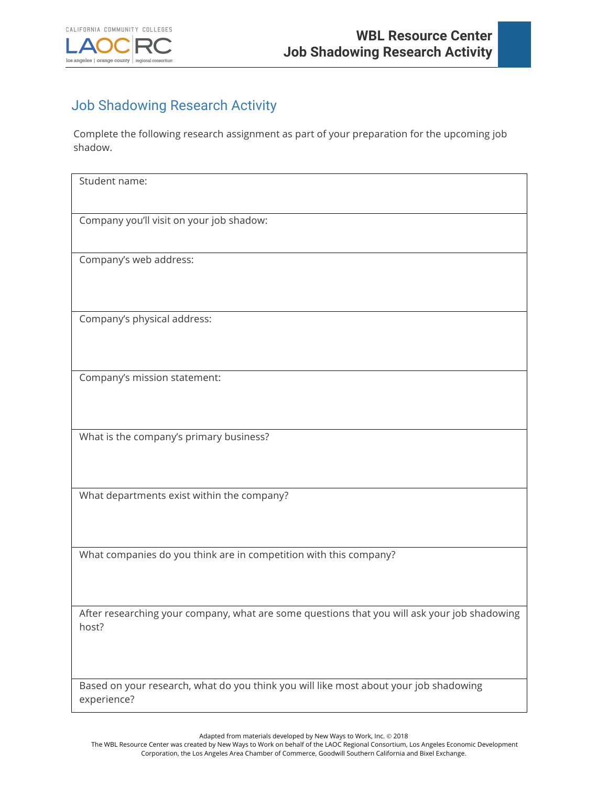

## Job Shadowing Research Activity

Complete the following research assignment as part of your preparation for the upcoming job shadow.

| Student name:                                                                                |
|----------------------------------------------------------------------------------------------|
|                                                                                              |
|                                                                                              |
| Company you'll visit on your job shadow:                                                     |
|                                                                                              |
|                                                                                              |
| Company's web address:                                                                       |
|                                                                                              |
|                                                                                              |
|                                                                                              |
|                                                                                              |
| Company's physical address:                                                                  |
|                                                                                              |
|                                                                                              |
|                                                                                              |
|                                                                                              |
| Company's mission statement:                                                                 |
|                                                                                              |
|                                                                                              |
|                                                                                              |
| What is the company's primary business?                                                      |
|                                                                                              |
|                                                                                              |
|                                                                                              |
|                                                                                              |
| What departments exist within the company?                                                   |
|                                                                                              |
|                                                                                              |
|                                                                                              |
|                                                                                              |
| What companies do you think are in competition with this company?                            |
|                                                                                              |
|                                                                                              |
|                                                                                              |
|                                                                                              |
| After researching your company, what are some questions that you will ask your job shadowing |
| host?                                                                                        |
|                                                                                              |
|                                                                                              |
|                                                                                              |
|                                                                                              |
| Based on your research, what do you think you will like most about your job shadowing        |
| experience?                                                                                  |

Adapted from materials developed by New Ways to Work, Inc. © 2018

The WBL Resource Center was created by New Ways to Work on behalf of the LAOC Regional Consortium, Los Angeles Economic Development Corporation, the Los Angeles Area Chamber of Commerce, Goodwill Southern California and Bixel Exchange.